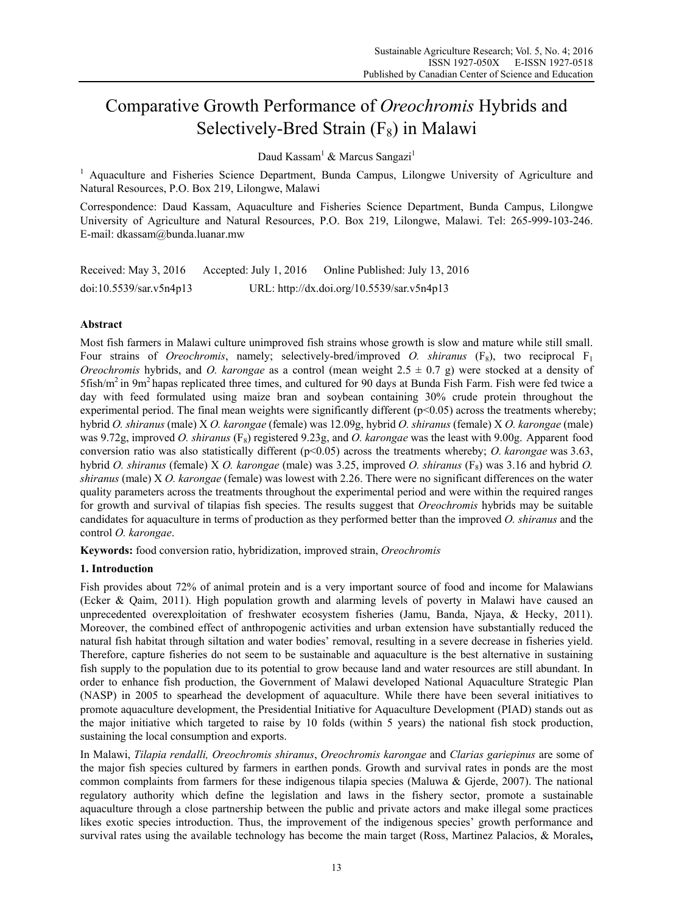# Comparative Growth Performance of *Oreochromis* Hybrids and Selectively-Bred Strain  $(F_8)$  in Malawi

Daud Kassam<sup>1</sup> & Marcus Sangazi<sup>1</sup>

<sup>1</sup> Aquaculture and Fisheries Science Department, Bunda Campus, Lilongwe University of Agriculture and Natural Resources, P.O. Box 219, Lilongwe, Malawi

Correspondence: Daud Kassam, Aquaculture and Fisheries Science Department, Bunda Campus, Lilongwe University of Agriculture and Natural Resources, P.O. Box 219, Lilongwe, Malawi. Tel: 265-999-103-246. E-mail: dkassam@bunda.luanar.mw

| Received: May 3, 2016   | Accepted: July 1, 2016 | Online Published: July 13, 2016            |
|-------------------------|------------------------|--------------------------------------------|
| doi:10.5539/sar.v5n4p13 |                        | URL: http://dx.doi.org/10.5539/sar.v5n4p13 |

## **Abstract**

Most fish farmers in Malawi culture unimproved fish strains whose growth is slow and mature while still small. Four strains of *Oreochromis*, namely; selectively-bred/improved *O. shiranus* (F<sub>8</sub>), two reciprocal F<sub>1</sub> *Oreochromis* hybrids, and *O. karongae* as a control (mean weight 2.5 ± 0.7 g) were stocked at a density of  $5$ fish/m<sup>2</sup> in 9m<sup>2</sup> hapas replicated three times, and cultured for 90 days at Bunda Fish Farm. Fish were fed twice a day with feed formulated using maize bran and soybean containing 30% crude protein throughout the experimental period. The final mean weights were significantly different  $(p<0.05)$  across the treatments whereby; hybrid *O. shiranus* (male) X *O. karongae* (female) was 12.09g, hybrid *O. shiranus* (female) X *O. karongae* (male) was 9.72g, improved *O. shiranus* (F<sub>8</sub>) registered 9.23g, and *O. karongae* was the least with 9.00g. Apparent food conversion ratio was also statistically different (p<0.05) across the treatments whereby; *O. karongae* was 3.63, hybrid *O. shiranus* (female) X *O. karongae* (male) was 3.25, improved *O. shiranus* (F<sub>8</sub>) was 3.16 and hybrid *O. shiranus* (male) X *O. karongae* (female) was lowest with 2.26. There were no significant differences on the water quality parameters across the treatments throughout the experimental period and were within the required ranges for growth and survival of tilapias fish species. The results suggest that *Oreochromis* hybrids may be suitable candidates for aquaculture in terms of production as they performed better than the improved *O. shiranus* and the control *O. karongae*.

**Keywords:** food conversion ratio, hybridization, improved strain, *Oreochromis*

## **1. Introduction**

Fish provides about 72% of animal protein and is a very important source of food and income for Malawians (Ecker & Qaim, 2011). High population growth and alarming levels of poverty in Malawi have caused an unprecedented overexploitation of freshwater ecosystem fisheries (Jamu, Banda, Njaya, & Hecky, 2011). Moreover, the combined effect of anthropogenic activities and urban extension have substantially reduced the natural fish habitat through siltation and water bodies' removal, resulting in a severe decrease in fisheries yield. Therefore, capture fisheries do not seem to be sustainable and aquaculture is the best alternative in sustaining fish supply to the population due to its potential to grow because land and water resources are still abundant. In order to enhance fish production, the Government of Malawi developed National Aquaculture Strategic Plan (NASP) in 2005 to spearhead the development of aquaculture. While there have been several initiatives to promote aquaculture development, the Presidential Initiative for Aquaculture Development (PIAD) stands out as the major initiative which targeted to raise by 10 folds (within 5 years) the national fish stock production, sustaining the local consumption and exports.

In Malawi, *Tilapia rendalli, Oreochromis shiranus*, *Oreochromis karongae* and *Clarias gariepinus* are some of the major fish species cultured by farmers in earthen ponds. Growth and survival rates in ponds are the most common complaints from farmers for these indigenous tilapia species (Maluwa & Gjerde, 2007). The national regulatory authority which define the legislation and laws in the fishery sector, promote a sustainable aquaculture through a close partnership between the public and private actors and make illegal some practices likes exotic species introduction. Thus, the improvement of the indigenous species' growth performance and survival rates using the available technology has become the main target (Ross, Martinez Palacios, & Morales**,**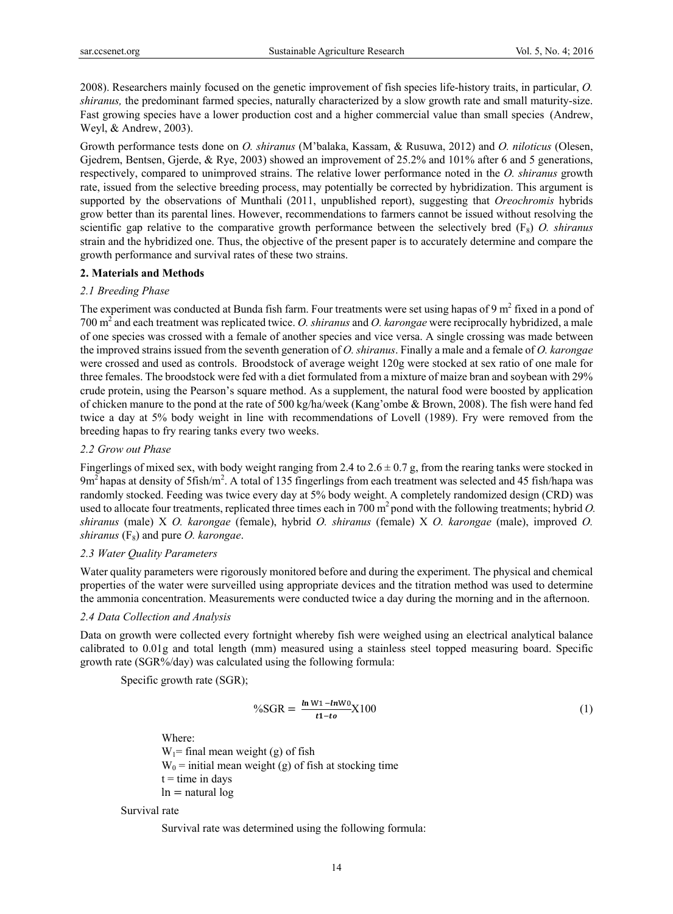2008). Researchers mainly focused on the genetic improvement of fish species life-history traits, in particular, *O. shiranus,* the predominant farmed species, naturally characterized by a slow growth rate and small maturity-size. Fast growing species have a lower production cost and a higher commercial value than small species (Andrew, Weyl, & Andrew, 2003).

Growth performance tests done on *O. shiranus* (M'balaka, Kassam, & Rusuwa, 2012) and *O. niloticus* (Olesen, Gjedrem, Bentsen, Gjerde, & Rye, 2003) showed an improvement of 25.2% and 101% after 6 and 5 generations, respectively, compared to unimproved strains. The relative lower performance noted in the *O. shiranus* growth rate, issued from the selective breeding process, may potentially be corrected by hybridization. This argument is supported by the observations of Munthali (2011, unpublished report), suggesting that *Oreochromis* hybrids grow better than its parental lines. However, recommendations to farmers cannot be issued without resolving the scientific gap relative to the comparative growth performance between the selectively bred (F<sub>8</sub>) *O. shiranus* strain and the hybridized one. Thus, the objective of the present paper is to accurately determine and compare the growth performance and survival rates of these two strains.

#### **2. Materials and Methods**

#### *2.1 Breeding Phase*

The experiment was conducted at Bunda fish farm. Four treatments were set using hapas of 9  $m<sup>2</sup>$  fixed in a pond of 700 m2 and each treatment was replicated twice. *O. shiranus* and *O. karongae* were reciprocally hybridized, a male of one species was crossed with a female of another species and vice versa. A single crossing was made between the improved strains issued from the seventh generation of *O. shiranus*. Finally a male and a female of *O. karongae* were crossed and used as controls. Broodstock of average weight 120g were stocked at sex ratio of one male for three females. The broodstock were fed with a diet formulated from a mixture of maize bran and soybean with 29% crude protein, using the Pearson's square method. As a supplement, the natural food were boosted by application of chicken manure to the pond at the rate of 500 kg/ha/week (Kang'ombe & Brown, 2008). The fish were hand fed twice a day at 5% body weight in line with recommendations of Lovell (1989). Fry were removed from the breeding hapas to fry rearing tanks every two weeks.

### *2.2 Grow out Phase*

Fingerlings of mixed sex, with body weight ranging from 2.4 to  $2.6 \pm 0.7$  g, from the rearing tanks were stocked in  $9m<sup>2</sup>$  hapas at density of 5fish/m<sup>2</sup>. A total of 135 fingerlings from each treatment was selected and 45 fish/hapa was randomly stocked. Feeding was twice every day at 5% body weight. A completely randomized design (CRD) was used to allocate four treatments, replicated three times each in 700 m<sup>2</sup> pond with the following treatments; hybrid *O*. *shiranus* (male) X *O. karongae* (female), hybrid *O. shiranus* (female) X *O. karongae* (male), improved *O. shiranus*  $(F_8)$  and pure *O. karongae.* 

## *2.3 Water Quality Parameters*

Water quality parameters were rigorously monitored before and during the experiment. The physical and chemical properties of the water were surveilled using appropriate devices and the titration method was used to determine the ammonia concentration. Measurements were conducted twice a day during the morning and in the afternoon.

#### *2.4 Data Collection and Analysis*

Data on growth were collected every fortnight whereby fish were weighed using an electrical analytical balance calibrated to 0.01g and total length (mm) measured using a stainless steel topped measuring board. Specific growth rate (SGR%/day) was calculated using the following formula:

Specific growth rate (SGR);

$$
\%SGR = \frac{\ln W1 - \ln W0}{t1 - to} X100 \tag{1}
$$

Where:

 $W_1$ = final mean weight (g) of fish  $W_0$  = initial mean weight (g) of fish at stocking time  $t =$  time in days  $ln =$ natural  $log$ 

#### Survival rate

Survival rate was determined using the following formula: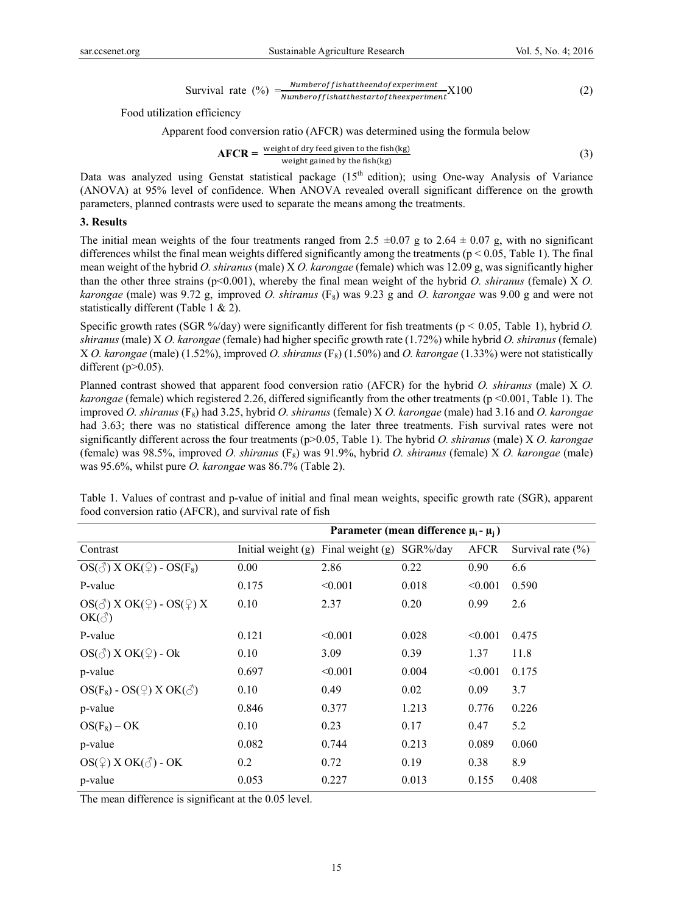$$
Survival rate (%) = \frac{Number of fish at the end of experiment}{Number of fish at the start of the experiment} X100
$$
 (2)

Food utilization efficiency

Apparent food conversion ratio (AFCR) was determined using the formula below

$$
AFCR = \frac{\text{weight of dry feed given to the fish(kg)}}{\text{weight gained by the fish(kg)}}
$$
(3)

Data was analyzed using Genstat statistical package  $(15<sup>th</sup>$  edition); using One-way Analysis of Variance (ANOVA) at 95% level of confidence. When ANOVA revealed overall significant difference on the growth parameters, planned contrasts were used to separate the means among the treatments.

#### **3. Results**

The initial mean weights of the four treatments ranged from 2.5  $\pm 0.07$  g to 2.64  $\pm$  0.07 g, with no significant differences whilst the final mean weights differed significantly among the treatments ( $p < 0.05$ , Table 1). The final mean weight of the hybrid *O. shiranus* (male) X *O. karongae* (female) which was 12.09 g, was significantly higher than the other three strains (p<0.001), whereby the final mean weight of the hybrid *O. shiranus* (female) X *O. karongae* (male) was 9.72 g, improved *O. shiranus* (F8) was 9.23 g and *O. karongae* was 9.00 g and were not statistically different (Table 1 & 2).

Specific growth rates (SGR %/day) were significantly different for fish treatments (p < 0.05, Table 1), hybrid *O. shiranus* (male) X *O. karongae* (female) had higher specific growth rate (1.72%) while hybrid *O. shiranus* (female) X *O. karongae* (male) (1.52%), improved *O. shiranus* (F8) (1.50%) and *O. karongae* (1.33%) were not statistically different ( $p > 0.05$ ).

Planned contrast showed that apparent food conversion ratio (AFCR) for the hybrid *O. shiranus* (male) X *O. karongae* (female) which registered 2.26, differed significantly from the other treatments (p <0.001, Table 1). The improved *O. shiranus* (F8) had 3.25, hybrid *O. shiranus* (female) X *O. karongae* (male) had 3.16 and *O. karongae* had 3.63; there was no statistical difference among the later three treatments. Fish survival rates were not significantly different across the four treatments (p>0.05, Table 1). The hybrid *O. shiranus* (male) X *O. karongae* (female) was 98.5%, improved *O. shiranus* (F8) was 91.9%, hybrid *O. shiranus* (female) X *O. karongae* (male) was 95.6%, whilst pure *O. karongae* was 86.7% (Table 2).

|                                                                                 | Parameter (mean difference $\mu_i - \mu_i$ ) |                  |              |             |                       |
|---------------------------------------------------------------------------------|----------------------------------------------|------------------|--------------|-------------|-----------------------|
| Contrast                                                                        | Initial weight $(g)$                         | Final weight (g) | $SGR\%$ /day | <b>AFCR</b> | Survival rate $(\% )$ |
| $OS(\textcircled{3})$ X OK( $\textcircled{2})$ - OS(F <sub>8</sub> )            | 0.00                                         | 2.86             | 0.22         | 0.90        | 6.6                   |
| P-value                                                                         | 0.175                                        | < 0.001          | 0.018        | < 0.001     | 0.590                 |
| $OS(\text{A})$ X OK( $\text{A}$ ) - OS( $\text{A}$ ) X<br>$OK(\textcircled{3})$ | 0.10                                         | 2.37             | 0.20         | 0.99        | 2.6                   |
| P-value                                                                         | 0.121                                        | < 0.001          | 0.028        | < 0.001     | 0.475                 |
| $OS(\text{A})$ X OK( $\text{A}$ ) - Ok                                          | 0.10                                         | 3.09             | 0.39         | 1.37        | 11.8                  |
| p-value                                                                         | 0.697                                        | < 0.001          | 0.004        | < 0.001     | 0.175                 |
| $OS(F_8) - OS(2)$ X OK( $\circlearrowleft$ )                                    | 0.10                                         | 0.49             | 0.02         | 0.09        | 3.7                   |
| p-value                                                                         | 0.846                                        | 0.377            | 1.213        | 0.776       | 0.226                 |
| $OS(F_8) - OK$                                                                  | 0.10                                         | 0.23             | 0.17         | 0.47        | 5.2                   |
| p-value                                                                         | 0.082                                        | 0.744            | 0.213        | 0.089       | 0.060                 |
| $OS(2)$ X OK( $\circlearrowleft$ ) - OK                                         | 0.2                                          | 0.72             | 0.19         | 0.38        | 8.9                   |
| p-value                                                                         | 0.053                                        | 0.227            | 0.013        | 0.155       | 0.408                 |

Table 1. Values of contrast and p-value of initial and final mean weights, specific growth rate (SGR), apparent food conversion ratio (AFCR), and survival rate of fish

The mean difference is significant at the 0.05 level.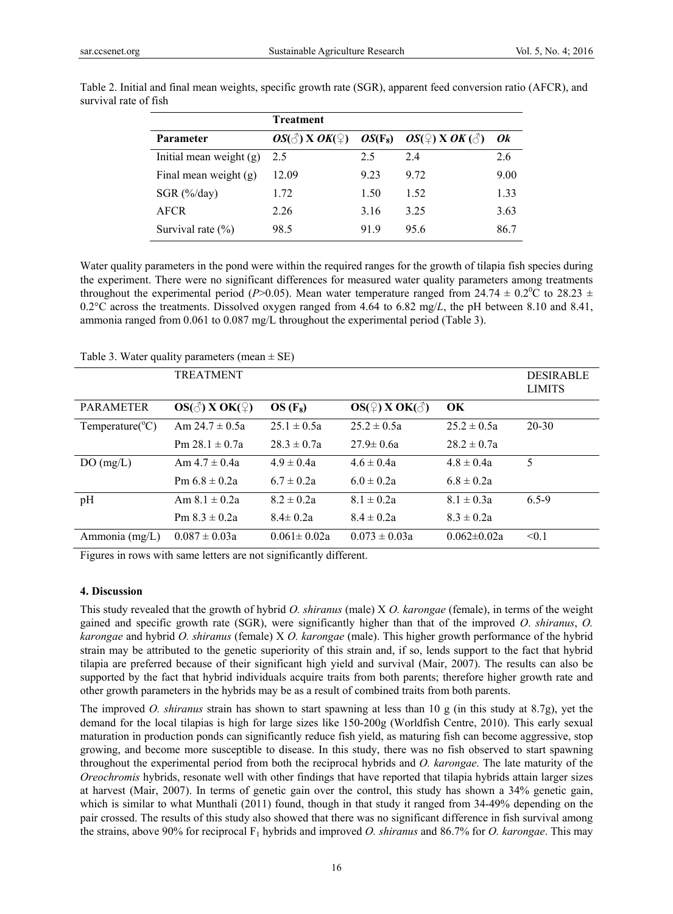|                           | Treatment                       |      |                                                              |      |
|---------------------------|---------------------------------|------|--------------------------------------------------------------|------|
| Parameter                 | $OS(\text{A})$ X $OK(\text{A})$ |      | $OS(F_8)$ $OS(\bigcirc$ $X$ <i>OK</i> ( $\circlearrowleft$ ) | 0k   |
| Initial mean weight $(g)$ | 2.5                             | 2.5  | 24                                                           | 2.6  |
| Final mean weight $(g)$   | 12.09                           | 9.23 | 9.72                                                         | 9.00 |
| SGR $(\frac{6}{day})$     | 1.72                            | 1.50 | 1.52                                                         | 1.33 |
| <b>AFCR</b>               | 2.26                            | 3.16 | 3.25                                                         | 3.63 |
| Survival rate $(\% )$     | 98.5                            | 919  | 95.6                                                         | 86.7 |

Table 2. Initial and final mean weights, specific growth rate (SGR), apparent feed conversion ratio (AFCR), and survival rate of fish

Water quality parameters in the pond were within the required ranges for the growth of tilapia fish species during the experiment. There were no significant differences for measured water quality parameters among treatments throughout the experimental period (*P*>0.05). Mean water temperature ranged from 24.74  $\pm$  0.2<sup>0</sup>C to 28.23  $\pm$ 0.2°C across the treatments. Dissolved oxygen ranged from 4.64 to 6.82 mg/*L*, the pH between 8.10 and 8.41, ammonia ranged from 0.061 to 0.087 mg/L throughout the experimental period (Table 3).

| racio sterator quantity parameters (modern $=$ 52) |                                   |                   |                                                  |                   |                  |
|----------------------------------------------------|-----------------------------------|-------------------|--------------------------------------------------|-------------------|------------------|
|                                                    | <b>TREATMENT</b>                  |                   |                                                  |                   | <b>DESIRABLE</b> |
|                                                    |                                   |                   |                                                  |                   | <b>LIMITS</b>    |
|                                                    |                                   |                   |                                                  |                   |                  |
| <b>PARAMETER</b>                                   | $OS(\text{A})$ X OK( $\text{A}$ ) | $OS(F_8)$         | $OS(\frac{\mathbb{O}}{4})$ X OK( $\mathcal{E}$ ) | OK                |                  |
| Temperature( ${}^{\circ}$ C)                       | Am $24.7 \pm 0.5a$                | $25.1 \pm 0.5a$   | $25.2 \pm 0.5a$                                  | $25.2 \pm 0.5a$   | $20 - 30$        |
|                                                    | Pm $28.1 \pm 0.7a$                | $28.3 \pm 0.7a$   | $27.9 \pm 0.6a$                                  | $28.2 \pm 0.7a$   |                  |
| DO(mg/L)                                           | Am $4.7 \pm 0.4a$                 | $4.9 \pm 0.4a$    | $4.6 \pm 0.4a$                                   | $4.8 \pm 0.4a$    | 5                |
|                                                    | Pm $6.8 \pm 0.2a$                 | $6.7 \pm 0.2a$    | $6.0 \pm 0.2a$                                   | $6.8 \pm 0.2a$    |                  |
| pH                                                 | Am $8.1 \pm 0.2a$                 | $8.2 \pm 0.2a$    | $8.1 \pm 0.2a$                                   | $8.1 \pm 0.3a$    | $6.5 - 9$        |
|                                                    | Pm $8.3 \pm 0.2a$                 | $8.4 \pm 0.2a$    | $8.4 \pm 0.2a$                                   | $8.3 \pm 0.2a$    |                  |
| Ammonia (mg/L)                                     | $0.087 \pm 0.03a$                 | $0.061 \pm 0.02a$ | $0.073 \pm 0.03a$                                | $0.062 \pm 0.02a$ | < 0.1            |

Table 3. Water quality parameters (mean  $\pm$  SE)

Figures in rows with same letters are not significantly different.

## **4. Discussion**

This study revealed that the growth of hybrid *O. shiranus* (male) X *O. karongae* (female), in terms of the weight gained and specific growth rate (SGR), were significantly higher than that of the improved *O*. *shiranus*, *O. karongae* and hybrid *O. shiranus* (female) X *O. karongae* (male). This higher growth performance of the hybrid strain may be attributed to the genetic superiority of this strain and, if so, lends support to the fact that hybrid tilapia are preferred because of their significant high yield and survival (Mair, 2007). The results can also be supported by the fact that hybrid individuals acquire traits from both parents; therefore higher growth rate and other growth parameters in the hybrids may be as a result of combined traits from both parents.

The improved *O. shiranus* strain has shown to start spawning at less than 10 g (in this study at 8.7g), yet the demand for the local tilapias is high for large sizes like 150-200g (Worldfish Centre, 2010). This early sexual maturation in production ponds can significantly reduce fish yield, as maturing fish can become aggressive, stop growing, and become more susceptible to disease. In this study, there was no fish observed to start spawning throughout the experimental period from both the reciprocal hybrids and *O. karongae*. The late maturity of the *Oreochromis* hybrids, resonate well with other findings that have reported that tilapia hybrids attain larger sizes at harvest (Mair, 2007). In terms of genetic gain over the control, this study has shown a 34% genetic gain, which is similar to what Munthali (2011) found, though in that study it ranged from 34-49% depending on the pair crossed. The results of this study also showed that there was no significant difference in fish survival among the strains, above 90% for reciprocal F1 hybrids and improved *O. shiranus* and 86.7% for *O. karongae*. This may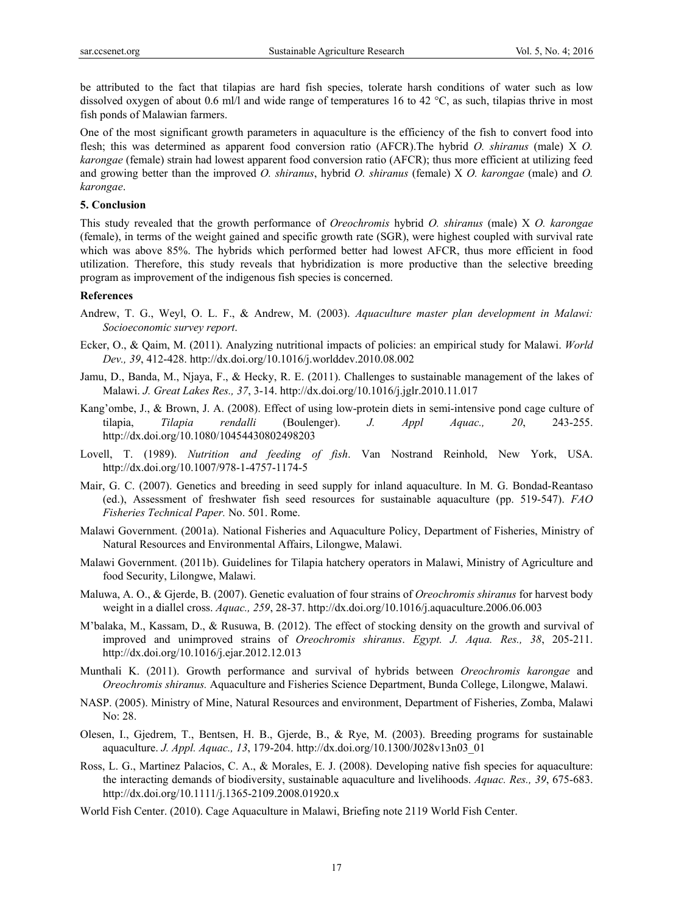be attributed to the fact that tilapias are hard fish species, tolerate harsh conditions of water such as low dissolved oxygen of about 0.6 ml/l and wide range of temperatures 16 to 42 °C, as such, tilapias thrive in most fish ponds of Malawian farmers.

One of the most significant growth parameters in aquaculture is the efficiency of the fish to convert food into flesh; this was determined as apparent food conversion ratio (AFCR).The hybrid *O. shiranus* (male) X *O. karongae* (female) strain had lowest apparent food conversion ratio (AFCR); thus more efficient at utilizing feed and growing better than the improved *O. shiranus*, hybrid *O. shiranus* (female) X *O. karongae* (male) and *O. karongae*.

#### **5. Conclusion**

This study revealed that the growth performance of *Oreochromis* hybrid *O. shiranus* (male) X *O. karongae*  (female), in terms of the weight gained and specific growth rate (SGR), were highest coupled with survival rate which was above 85%. The hybrids which performed better had lowest AFCR, thus more efficient in food utilization. Therefore, this study reveals that hybridization is more productive than the selective breeding program as improvement of the indigenous fish species is concerned.

#### **References**

- Andrew, T. G., Weyl, O. L. F., & Andrew, M. (2003). *Aquaculture master plan development in Malawi: Socioeconomic survey report*.
- Ecker, O., & Qaim, M. (2011). Analyzing nutritional impacts of policies: an empirical study for Malawi. *World Dev., 39*, 412-428. http://dx.doi.org/10.1016/j.worlddev.2010.08.002
- Jamu, D., Banda, M., Njaya, F., & Hecky, R. E. (2011). Challenges to sustainable management of the lakes of Malawi. *J. Great Lakes Res., 37*, 3-14. http://dx.doi.org/10.1016/j.jglr.2010.11.017
- Kang'ombe, J., & Brown, J. A. (2008). Effect of using low-protein diets in semi-intensive pond cage culture of tilapia, *Tilapia rendalli* (Boulenger). *J. Appl Aquac., 20*, 243-255. http://dx.doi.org/10.1080/10454430802498203
- Lovell, T. (1989). *Nutrition and feeding of fish*. Van Nostrand Reinhold, New York, USA. http://dx.doi.org/10.1007/978-1-4757-1174-5
- Mair, G. C. (2007). Genetics and breeding in seed supply for inland aquaculture. In M. G. Bondad-Reantaso (ed.), Assessment of freshwater fish seed resources for sustainable aquaculture (pp. 519-547). *FAO Fisheries Technical Paper.* No. 501. Rome.
- Malawi Government. (2001a). National Fisheries and Aquaculture Policy, Department of Fisheries, Ministry of Natural Resources and Environmental Affairs, Lilongwe, Malawi.
- Malawi Government. (2011b). Guidelines for Tilapia hatchery operators in Malawi, Ministry of Agriculture and food Security, Lilongwe, Malawi.
- Maluwa, A. O., & Gjerde, B. (2007). Genetic evaluation of four strains of *Oreochromis shiranus* for harvest body weight in a diallel cross. *Aquac., 259*, 28-37. http://dx.doi.org/10.1016/j.aquaculture.2006.06.003
- M'balaka, M., Kassam, D., & Rusuwa, B. (2012). The effect of stocking density on the growth and survival of improved and unimproved strains of *Oreochromis shiranus*. *Egypt. J. Aqua. Res., 38*, 205-211. http://dx.doi.org/10.1016/j.ejar.2012.12.013
- Munthali K. (2011). Growth performance and survival of hybrids between *Oreochromis karongae* and *Oreochromis shiranus.* Aquaculture and Fisheries Science Department, Bunda College, Lilongwe, Malawi.
- NASP. (2005). Ministry of Mine, Natural Resources and environment, Department of Fisheries, Zomba, Malawi No: 28.
- Olesen, I., Gjedrem, T., Bentsen, H. B., Gjerde, B., & Rye, M. (2003). Breeding programs for sustainable aquaculture. *J. Appl. Aquac., 13*, 179-204. http://dx.doi.org/10.1300/J028v13n03\_01
- Ross, L. G., Martinez Palacios, C. A., & Morales, E. J. (2008). Developing native fish species for aquaculture: the interacting demands of biodiversity, sustainable aquaculture and livelihoods. *Aquac. Res., 39*, 675-683. http://dx.doi.org/10.1111/j.1365-2109.2008.01920.x
- World Fish Center. (2010). Cage Aquaculture in Malawi, Briefing note 2119 World Fish Center.